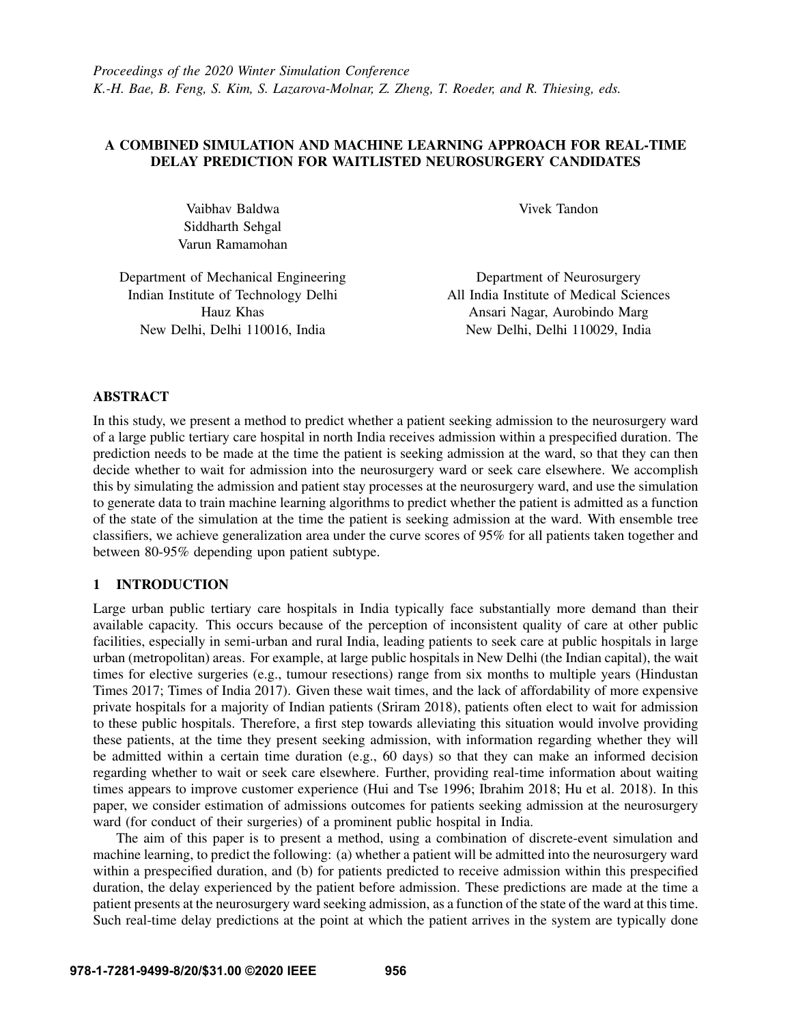# A COMBINED SIMULATION AND MACHINE LEARNING APPROACH FOR REAL-TIME DELAY PREDICTION FOR WAITLISTED NEUROSURGERY CANDIDATES

Vaibhav Baldwa Siddharth Sehgal Varun Ramamohan Vivek Tandon

Department of Mechanical Engineering Indian Institute of Technology Delhi Hauz Khas New Delhi, Delhi 110016, India

Department of Neurosurgery All India Institute of Medical Sciences Ansari Nagar, Aurobindo Marg New Delhi, Delhi 110029, India

## ABSTRACT

In this study, we present a method to predict whether a patient seeking admission to the neurosurgery ward of a large public tertiary care hospital in north India receives admission within a prespecified duration. The prediction needs to be made at the time the patient is seeking admission at the ward, so that they can then decide whether to wait for admission into the neurosurgery ward or seek care elsewhere. We accomplish this by simulating the admission and patient stay processes at the neurosurgery ward, and use the simulation to generate data to train machine learning algorithms to predict whether the patient is admitted as a function of the state of the simulation at the time the patient is seeking admission at the ward. With ensemble tree classifiers, we achieve generalization area under the curve scores of 95% for all patients taken together and between 80-95% depending upon patient subtype.

## 1 INTRODUCTION

Large urban public tertiary care hospitals in India typically face substantially more demand than their available capacity. This occurs because of the perception of inconsistent quality of care at other public facilities, especially in semi-urban and rural India, leading patients to seek care at public hospitals in large urban (metropolitan) areas. For example, at large public hospitals in New Delhi (the Indian capital), the wait times for elective surgeries (e.g., tumour resections) range from six months to multiple years [\(Hindustan](#page-11-0) [Times 2017;](#page-11-0) [Times of India 2017\)](#page-11-1). Given these wait times, and the lack of affordability of more expensive private hospitals for a majority of Indian patients [\(Sriram 2018\)](#page-11-2), patients often elect to wait for admission to these public hospitals. Therefore, a first step towards alleviating this situation would involve providing these patients, at the time they present seeking admission, with information regarding whether they will be admitted within a certain time duration (e.g., 60 days) so that they can make an informed decision regarding whether to wait or seek care elsewhere. Further, providing real-time information about waiting times appears to improve customer experience [\(Hui and Tse 1996;](#page-11-3) [Ibrahim 2018;](#page-11-4) [Hu et al. 2018\)](#page-11-5). In this paper, we consider estimation of admissions outcomes for patients seeking admission at the neurosurgery ward (for conduct of their surgeries) of a prominent public hospital in India.

The aim of this paper is to present a method, using a combination of discrete-event simulation and machine learning, to predict the following: (a) whether a patient will be admitted into the neurosurgery ward within a prespecified duration, and (b) for patients predicted to receive admission within this prespecified duration, the delay experienced by the patient before admission. These predictions are made at the time a patient presents at the neurosurgery ward seeking admission, as a function of the state of the ward at this time. Such real-time delay predictions at the point at which the patient arrives in the system are typically done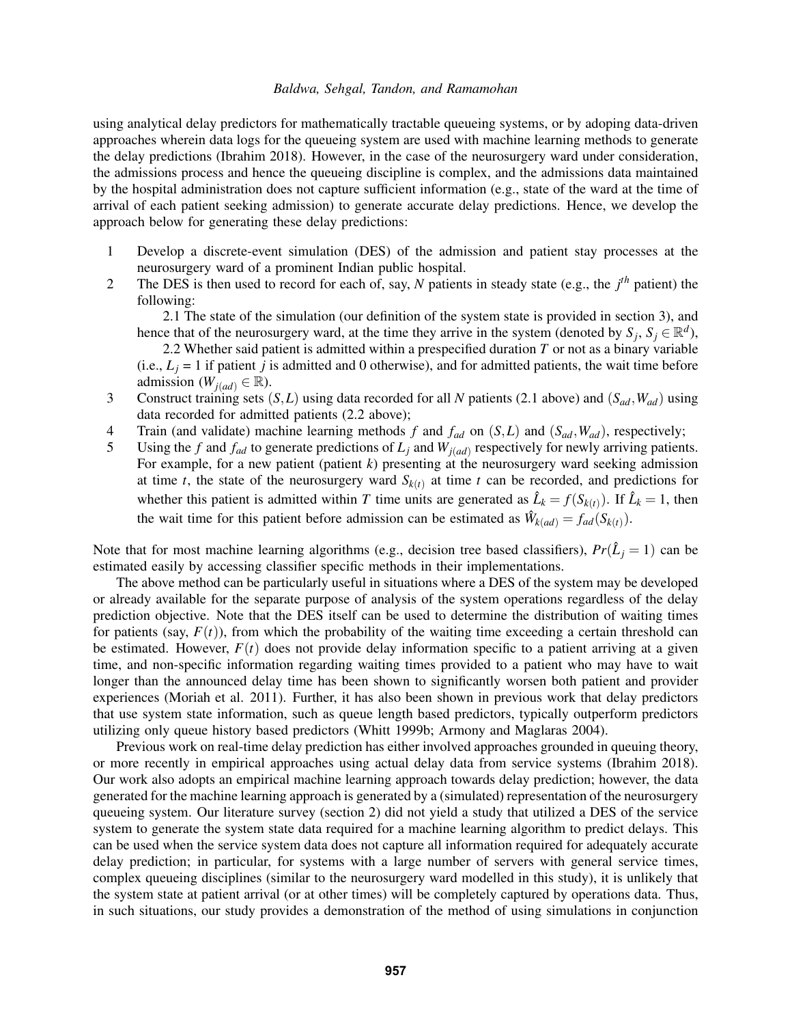using analytical delay predictors for mathematically tractable queueing systems, or by adoping data-driven approaches wherein data logs for the queueing system are used with machine learning methods to generate the delay predictions [\(Ibrahim 2018\)](#page-11-4). However, in the case of the neurosurgery ward under consideration, the admissions process and hence the queueing discipline is complex, and the admissions data maintained by the hospital administration does not capture sufficient information (e.g., state of the ward at the time of arrival of each patient seeking admission) to generate accurate delay predictions. Hence, we develop the approach below for generating these delay predictions:

- 1 Develop a discrete-event simulation (DES) of the admission and patient stay processes at the neurosurgery ward of a prominent Indian public hospital.
- 2 The DES is then used to record for each of, say, *N* patients in steady state (e.g., the *j th* patient) the following:

2.1 The state of the simulation (our definition of the system state is provided in section [3\)](#page-3-0), and hence that of the neurosurgery ward, at the time they arrive in the system (denoted by  $S_j$ ,  $S_j \in \mathbb{R}^d$ ),

2.2 Whether said patient is admitted within a prespecified duration *T* or not as a binary variable (i.e.,  $L_j = 1$  if patient *j* is admitted and 0 otherwise), and for admitted patients, the wait time before admission ( $W_{i(ad)} \in \mathbb{R}$ ).

- 3 Construct training sets (*S*,*L*) using data recorded for all *N* patients (2.1 above) and (*Sad*,*Wad*) using data recorded for admitted patients (2.2 above);
- 4 Train (and validate) machine learning methods *f* and *fad* on (*S*,*L*) and (*Sad*,*Wad*), respectively;
- 5 Using the *f* and  $f_{ad}$  to generate predictions of  $L_j$  and  $W_{j(ad)}$  respectively for newly arriving patients. For example, for a new patient (patient *k*) presenting at the neurosurgery ward seeking admission at time *t*, the state of the neurosurgery ward  $S_{k(t)}$  at time *t* can be recorded, and predictions for whether this patient is admitted within *T* time units are generated as  $\hat{L}_k = f(S_{k(t)})$ . If  $\hat{L}_k = 1$ , then the wait time for this patient before admission can be estimated as  $\hat{W}_{k(ad)} = f_{ad}(S_{k(t)})$ .

Note that for most machine learning algorithms (e.g., decision tree based classifiers),  $Pr(\hat{L}_j = 1)$  can be estimated easily by accessing classifier specific methods in their implementations.

The above method can be particularly useful in situations where a DES of the system may be developed or already available for the separate purpose of analysis of the system operations regardless of the delay prediction objective. Note that the DES itself can be used to determine the distribution of waiting times for patients (say,  $F(t)$ ), from which the probability of the waiting time exceeding a certain threshold can be estimated. However,  $F(t)$  does not provide delay information specific to a patient arriving at a given time, and non-specific information regarding waiting times provided to a patient who may have to wait longer than the announced delay time has been shown to significantly worsen both patient and provider experiences [\(Moriah et al. 2011\)](#page-11-6). Further, it has also been shown in previous work that delay predictors that use system state information, such as queue length based predictors, typically outperform predictors utilizing only queue history based predictors [\(Whitt 1999b;](#page-11-7) [Armony and Maglaras 2004\)](#page-10-0).

Previous work on real-time delay prediction has either involved approaches grounded in queuing theory, or more recently in empirical approaches using actual delay data from service systems [\(Ibrahim 2018\)](#page-11-4). Our work also adopts an empirical machine learning approach towards delay prediction; however, the data generated for the machine learning approach is generated by a (simulated) representation of the neurosurgery queueing system. Our literature survey (section [2\)](#page-2-0) did not yield a study that utilized a DES of the service system to generate the system state data required for a machine learning algorithm to predict delays. This can be used when the service system data does not capture all information required for adequately accurate delay prediction; in particular, for systems with a large number of servers with general service times, complex queueing disciplines (similar to the neurosurgery ward modelled in this study), it is unlikely that the system state at patient arrival (or at other times) will be completely captured by operations data. Thus, in such situations, our study provides a demonstration of the method of using simulations in conjunction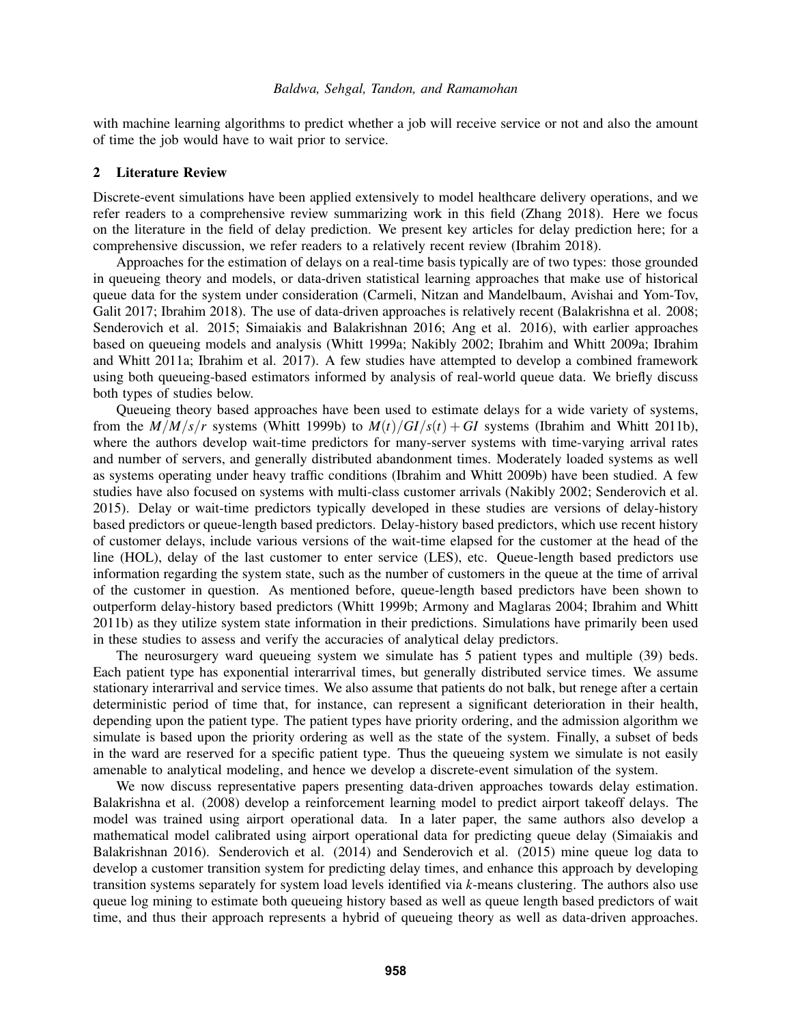with machine learning algorithms to predict whether a job will receive service or not and also the amount of time the job would have to wait prior to service.

#### <span id="page-2-0"></span>2 Literature Review

Discrete-event simulations have been applied extensively to model healthcare delivery operations, and we refer readers to a comprehensive review summarizing work in this field [\(Zhang 2018\)](#page-11-8). Here we focus on the literature in the field of delay prediction. We present key articles for delay prediction here; for a comprehensive discussion, we refer readers to a relatively recent review [\(Ibrahim 2018\)](#page-11-4).

Approaches for the estimation of delays on a real-time basis typically are of two types: those grounded in queueing theory and models, or data-driven statistical learning approaches that make use of historical queue data for the system under consideration [\(Carmeli, Nitzan and Mandelbaum, Avishai and Yom-Tov,](#page-11-9) [Galit 2017;](#page-11-9) [Ibrahim 2018\)](#page-11-4). The use of data-driven approaches is relatively recent [\(Balakrishna et al. 2008;](#page-10-1) [Senderovich et al. 2015;](#page-11-10) [Simaiakis and Balakrishnan 2016;](#page-11-11) [Ang et al. 2016\)](#page-10-2), with earlier approaches based on queueing models and analysis [\(Whitt 1999a;](#page-11-12) [Nakibly 2002;](#page-11-13) [Ibrahim and Whitt 2009a;](#page-11-14) [Ibrahim](#page-11-15) [and Whitt 2011a;](#page-11-15) [Ibrahim et al. 2017\)](#page-11-16). A few studies have attempted to develop a combined framework using both queueing-based estimators informed by analysis of real-world queue data. We briefly discuss both types of studies below.

Queueing theory based approaches have been used to estimate delays for a wide variety of systems, from the  $M/M/s/r$  systems [\(Whitt 1999b\)](#page-11-7) to  $M(t)/GI/s(t) + GI$  systems [\(Ibrahim and Whitt 2011b\)](#page-11-17), where the authors develop wait-time predictors for many-server systems with time-varying arrival rates and number of servers, and generally distributed abandonment times. Moderately loaded systems as well as systems operating under heavy traffic conditions [\(Ibrahim and Whitt 2009b\)](#page-11-18) have been studied. A few studies have also focused on systems with multi-class customer arrivals [\(Nakibly 2002;](#page-11-13) [Senderovich et al.](#page-11-10) [2015\)](#page-11-10). Delay or wait-time predictors typically developed in these studies are versions of delay-history based predictors or queue-length based predictors. Delay-history based predictors, which use recent history of customer delays, include various versions of the wait-time elapsed for the customer at the head of the line (HOL), delay of the last customer to enter service (LES), etc. Queue-length based predictors use information regarding the system state, such as the number of customers in the queue at the time of arrival of the customer in question. As mentioned before, queue-length based predictors have been shown to outperform delay-history based predictors [\(Whitt 1999b;](#page-11-7) [Armony and Maglaras 2004;](#page-10-0) [Ibrahim and Whitt](#page-11-17) [2011b\)](#page-11-17) as they utilize system state information in their predictions. Simulations have primarily been used in these studies to assess and verify the accuracies of analytical delay predictors.

The neurosurgery ward queueing system we simulate has 5 patient types and multiple (39) beds. Each patient type has exponential interarrival times, but generally distributed service times. We assume stationary interarrival and service times. We also assume that patients do not balk, but renege after a certain deterministic period of time that, for instance, can represent a significant deterioration in their health, depending upon the patient type. The patient types have priority ordering, and the admission algorithm we simulate is based upon the priority ordering as well as the state of the system. Finally, a subset of beds in the ward are reserved for a specific patient type. Thus the queueing system we simulate is not easily amenable to analytical modeling, and hence we develop a discrete-event simulation of the system.

We now discuss representative papers presenting data-driven approaches towards delay estimation. [Balakrishna et al. \(2008\)](#page-10-1) develop a reinforcement learning model to predict airport takeoff delays. The model was trained using airport operational data. In a later paper, the same authors also develop a mathematical model calibrated using airport operational data for predicting queue delay [\(Simaiakis and](#page-11-11) [Balakrishnan 2016\)](#page-11-11). [Senderovich et al. \(2014\)](#page-11-19) and [Senderovich et al. \(2015\)](#page-11-10) mine queue log data to develop a customer transition system for predicting delay times, and enhance this approach by developing transition systems separately for system load levels identified via *k*-means clustering. The authors also use queue log mining to estimate both queueing history based as well as queue length based predictors of wait time, and thus their approach represents a hybrid of queueing theory as well as data-driven approaches.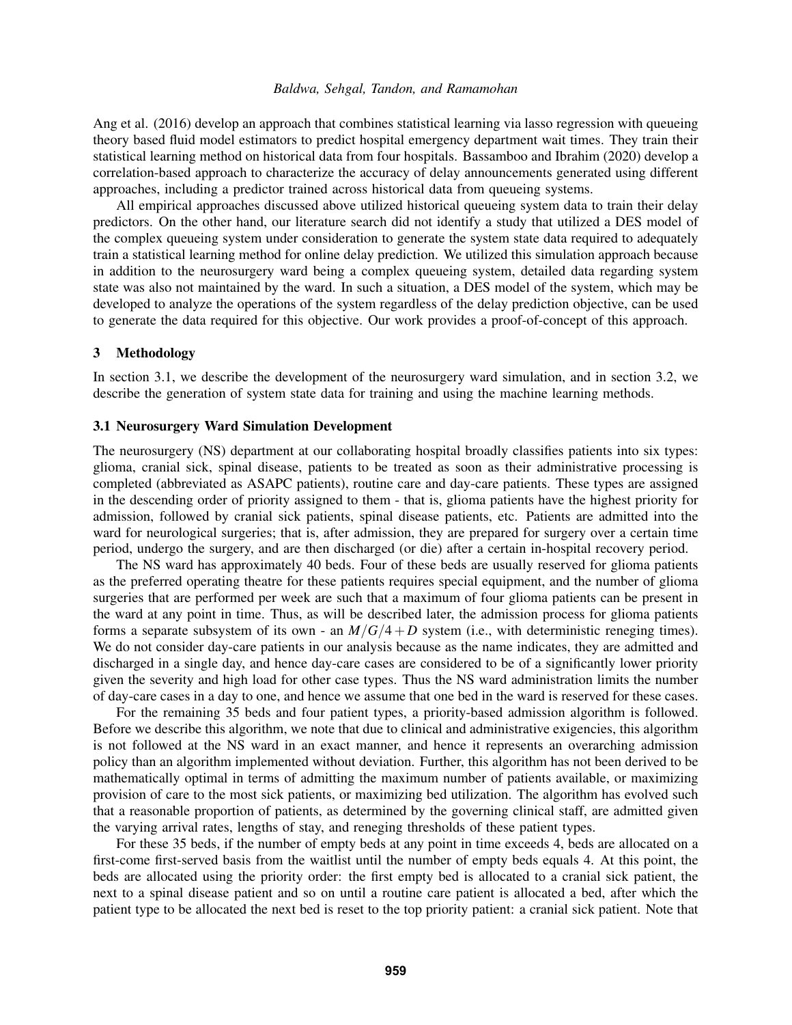[Ang et al. \(2016\)](#page-10-2) develop an approach that combines statistical learning via lasso regression with queueing theory based fluid model estimators to predict hospital emergency department wait times. They train their statistical learning method on historical data from four hospitals. [Bassamboo and Ibrahim \(2020\)](#page-10-3) develop a correlation-based approach to characterize the accuracy of delay announcements generated using different approaches, including a predictor trained across historical data from queueing systems.

All empirical approaches discussed above utilized historical queueing system data to train their delay predictors. On the other hand, our literature search did not identify a study that utilized a DES model of the complex queueing system under consideration to generate the system state data required to adequately train a statistical learning method for online delay prediction. We utilized this simulation approach because in addition to the neurosurgery ward being a complex queueing system, detailed data regarding system state was also not maintained by the ward. In such a situation, a DES model of the system, which may be developed to analyze the operations of the system regardless of the delay prediction objective, can be used to generate the data required for this objective. Our work provides a proof-of-concept of this approach.

### <span id="page-3-0"></span>3 Methodology

In section 3.1, we describe the development of the neurosurgery ward simulation, and in section 3.2, we describe the generation of system state data for training and using the machine learning methods.

#### 3.1 Neurosurgery Ward Simulation Development

The neurosurgery (NS) department at our collaborating hospital broadly classifies patients into six types: glioma, cranial sick, spinal disease, patients to be treated as soon as their administrative processing is completed (abbreviated as ASAPC patients), routine care and day-care patients. These types are assigned in the descending order of priority assigned to them - that is, glioma patients have the highest priority for admission, followed by cranial sick patients, spinal disease patients, etc. Patients are admitted into the ward for neurological surgeries; that is, after admission, they are prepared for surgery over a certain time period, undergo the surgery, and are then discharged (or die) after a certain in-hospital recovery period.

The NS ward has approximately 40 beds. Four of these beds are usually reserved for glioma patients as the preferred operating theatre for these patients requires special equipment, and the number of glioma surgeries that are performed per week are such that a maximum of four glioma patients can be present in the ward at any point in time. Thus, as will be described later, the admission process for glioma patients forms a separate subsystem of its own - an  $M/G/4+D$  system (i.e., with deterministic reneging times). We do not consider day-care patients in our analysis because as the name indicates, they are admitted and discharged in a single day, and hence day-care cases are considered to be of a significantly lower priority given the severity and high load for other case types. Thus the NS ward administration limits the number of day-care cases in a day to one, and hence we assume that one bed in the ward is reserved for these cases.

For the remaining 35 beds and four patient types, a priority-based admission algorithm is followed. Before we describe this algorithm, we note that due to clinical and administrative exigencies, this algorithm is not followed at the NS ward in an exact manner, and hence it represents an overarching admission policy than an algorithm implemented without deviation. Further, this algorithm has not been derived to be mathematically optimal in terms of admitting the maximum number of patients available, or maximizing provision of care to the most sick patients, or maximizing bed utilization. The algorithm has evolved such that a reasonable proportion of patients, as determined by the governing clinical staff, are admitted given the varying arrival rates, lengths of stay, and reneging thresholds of these patient types.

For these 35 beds, if the number of empty beds at any point in time exceeds 4, beds are allocated on a first-come first-served basis from the waitlist until the number of empty beds equals 4. At this point, the beds are allocated using the priority order: the first empty bed is allocated to a cranial sick patient, the next to a spinal disease patient and so on until a routine care patient is allocated a bed, after which the patient type to be allocated the next bed is reset to the top priority patient: a cranial sick patient. Note that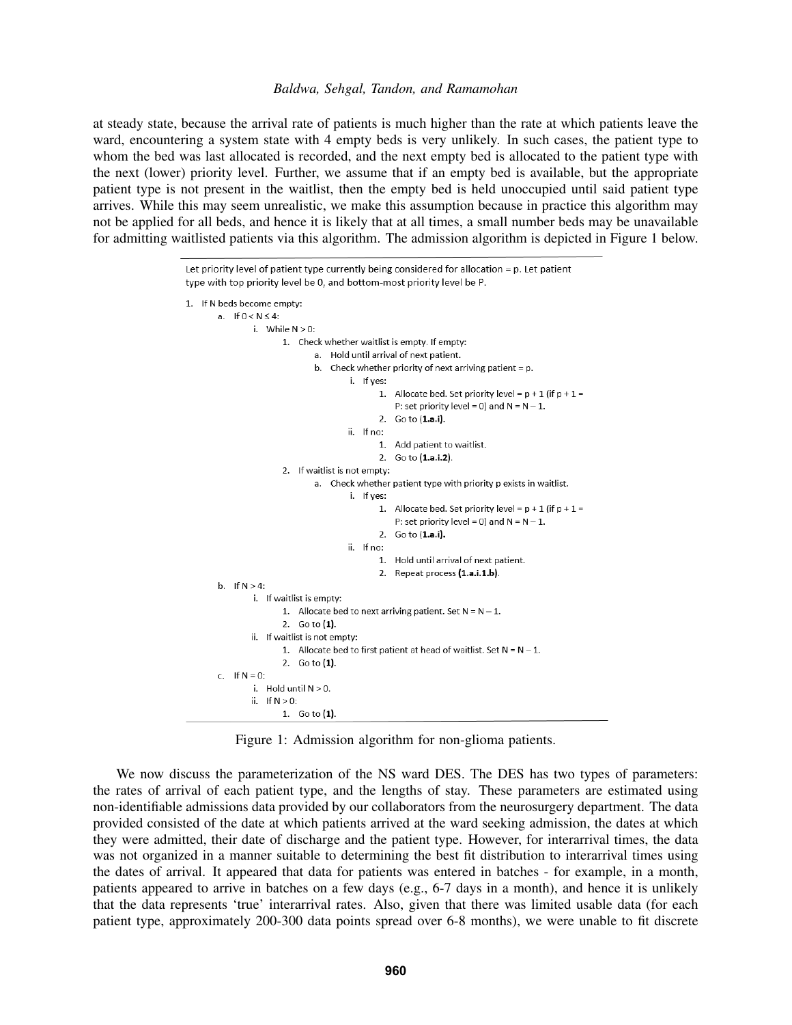at steady state, because the arrival rate of patients is much higher than the rate at which patients leave the ward, encountering a system state with 4 empty beds is very unlikely. In such cases, the patient type to whom the bed was last allocated is recorded, and the next empty bed is allocated to the patient type with the next (lower) priority level. Further, we assume that if an empty bed is available, but the appropriate patient type is not present in the waitlist, then the empty bed is held unoccupied until said patient type arrives. While this may seem unrealistic, we make this assumption because in practice this algorithm may not be applied for all beds, and hence it is likely that at all times, a small number beds may be unavailable for admitting waitlisted patients via this algorithm. The admission algorithm is depicted in Figure [1](#page-4-0) below.

```
Let priority level of patient type currently being considered for allocation = p. Let patient
type with top priority level be 0, and bottom-most priority level be P.
1. If N beds become empty:
        a. If 0 < N \leq 4:
                 i. While N > 0:
                         1. Check whether waitlist is empty. If empty:
                                 a. Hold until arrival of next patient.
                                 b. Check whether priority of next arriving patient = p.
                                          i. If yes:
                                                 1. Allocate bed. Set priority level = p + 1 (if p + 1 =P: set priority level = 0) and N = N - 1.
                                                 2. Go to (1.a.i).
                                         ii. If no:
                                                 1. Add patient to waitlist.
                                                 2. Go to (1.a.i.2).
                         2. If waitlist is not empty:
                                 a. Check whether patient type with priority p exists in waitlist.
                                          i. If yes:
                                                 1. Allocate bed. Set priority level = p + 1 (if p + 1 =P: set priority level = 0) and N = N - 1.
                                                 2. Go to (1.a.i).
                                          ii. If no:
                                                 1. Hold until arrival of next patient.
                                                 2. Repeat process (1.a.i.1.b).
        b. If N > 4:
                 i. If waitlist is empty:
                         1. Allocate bed to next arriving patient. Set N = N - 1.
                         2. Go to (1).
                 ii. If waitlist is not empty:
                         1. Allocate bed to first patient at head of waitlist. Set N = N - 1.
                         2. Go to (1).
        r = 1 f N = 0.
                 i. Hold until N > 0.
                 ii. If N > 0:
                         1. Go to (1).
```
Figure 1: Admission algorithm for non-glioma patients.

We now discuss the parameterization of the NS ward DES. The DES has two types of parameters: the rates of arrival of each patient type, and the lengths of stay. These parameters are estimated using non-identifiable admissions data provided by our collaborators from the neurosurgery department. The data provided consisted of the date at which patients arrived at the ward seeking admission, the dates at which they were admitted, their date of discharge and the patient type. However, for interarrival times, the data was not organized in a manner suitable to determining the best fit distribution to interarrival times using the dates of arrival. It appeared that data for patients was entered in batches - for example, in a month, patients appeared to arrive in batches on a few days (e.g., 6-7 days in a month), and hence it is unlikely that the data represents 'true' interarrival rates. Also, given that there was limited usable data (for each patient type, approximately 200-300 data points spread over 6-8 months), we were unable to fit discrete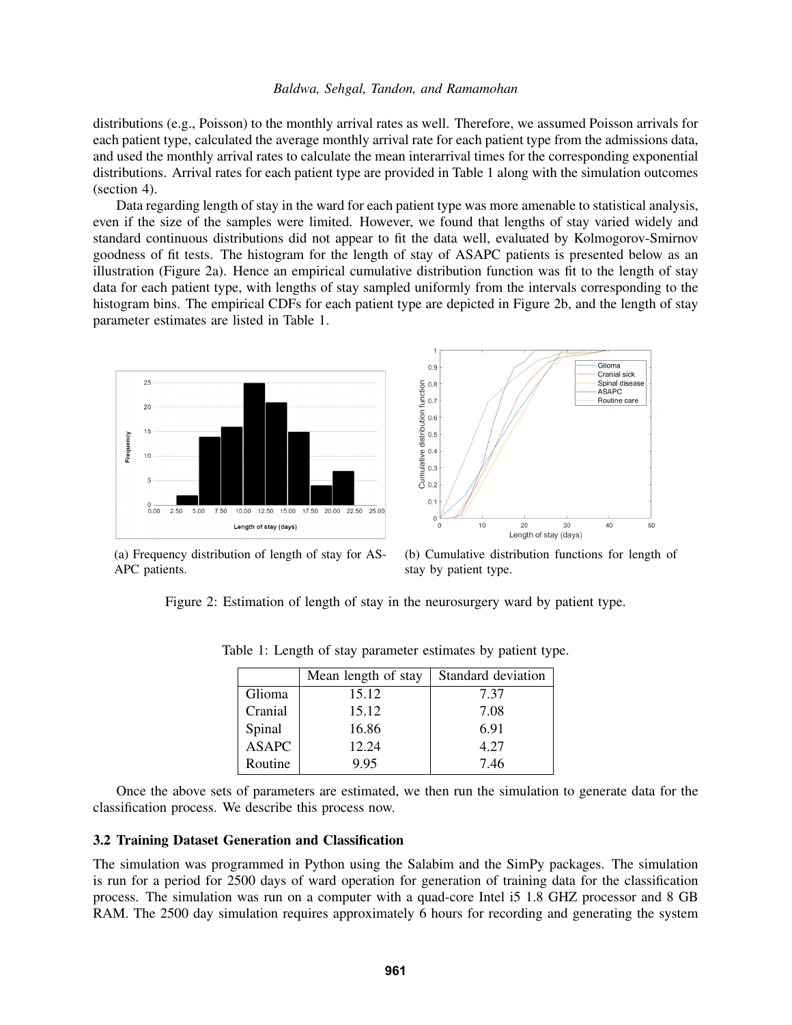distributions (e.g., Poisson) to the monthly arrival rates as well. Therefore, we assumed Poisson arrivals for each patient type, calculated the average monthly arrival rate for each patient type from the admissions data, and used the monthly arrival rates to calculate the mean interarrival times for the corresponding exponential distributions. Arrival rates for each patient type are provided in Table 1 along with the simulation outcomes (section 4).

Data regarding length of stay in the ward for each patient type was more amenable to statistical analysis, even if the size of the samples were limited. However, we found that lengths of stay varied widely and standard continuous distributions did not appear to fit the data well, evaluated by Kolmogorov-Smirnov goodness of fit tests. The histogram for the length of stay of ASAPC patients is presented below as an illustration (Figure [2a\)](#page-5-0). Hence an empirical cumulative distribution function was fit to the length of stay data for each patient type, with lengths of stay sampled uniformly from the intervals corresponding to the histogram bins. The empirical CDFs for each patient type are depicted in Figure [2b,](#page-5-0) and the length of stay parameter estimates are listed in Table [1.](#page-5-1)

<span id="page-5-0"></span>

(a) Frequency distribution of length of stay for AS-APC patients.

(b) Cumulative distribution functions for length of stay by patient type.

<span id="page-5-1"></span>Figure 2: Estimation of length of stay in the neurosurgery ward by patient type.

|              | Mean length of stay | Standard deviation |  |
|--------------|---------------------|--------------------|--|
| Glioma       | 15.12               | 7.37               |  |
| Cranial      | 15.12               | 7.08               |  |
| Spinal       | 16.86               | 6.91               |  |
| <b>ASAPC</b> | 12.24               | 4.27               |  |
| Routine      | 9.95                | 7.46               |  |

Table 1: Length of stay parameter estimates by patient type.

Once the above sets of parameters are estimated, we then run the simulation to generate data for the classification process. We describe this process now.

### 3.2 Training Dataset Generation and Classification

The simulation was programmed in Python using the Salabim and the SimPy packages. The simulation is run for a period for 2500 days of ward operation for generation of training data for the classification process. The simulation was run on a computer with a quad-core Intel i5 1.8 GHZ processor and 8 GB RAM. The 2500 day simulation requires approximately 6 hours for recording and generating the system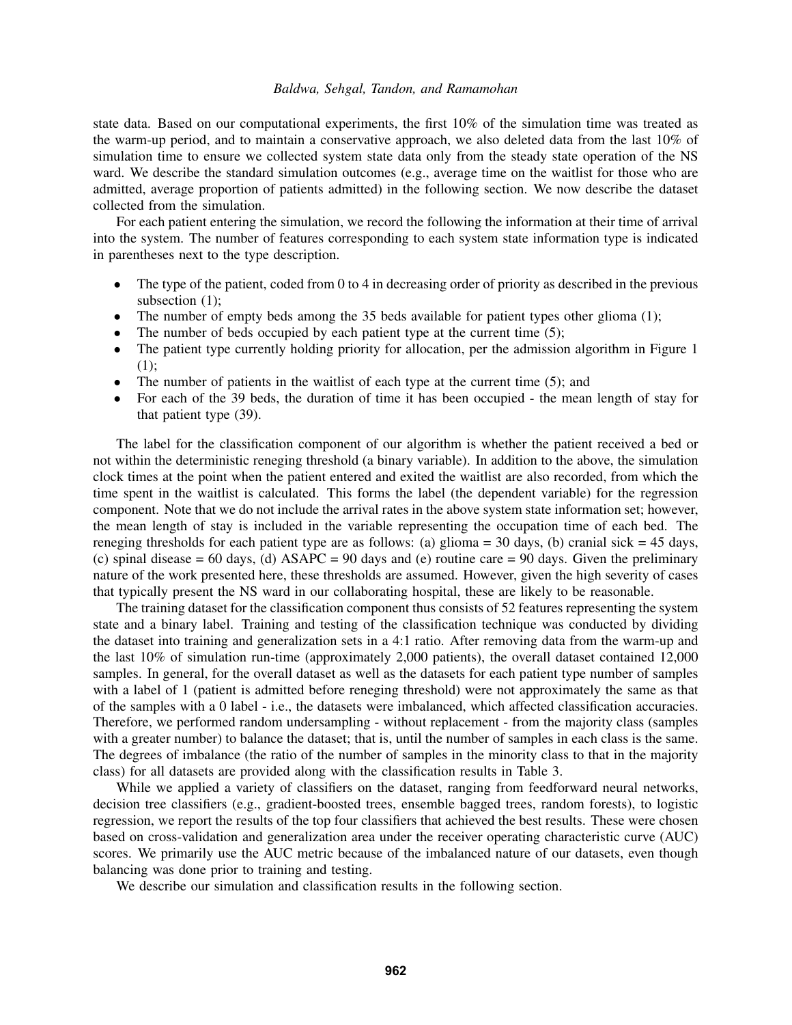state data. Based on our computational experiments, the first 10% of the simulation time was treated as the warm-up period, and to maintain a conservative approach, we also deleted data from the last 10% of simulation time to ensure we collected system state data only from the steady state operation of the NS ward. We describe the standard simulation outcomes (e.g., average time on the waitlist for those who are admitted, average proportion of patients admitted) in the following section. We now describe the dataset collected from the simulation.

For each patient entering the simulation, we record the following the information at their time of arrival into the system. The number of features corresponding to each system state information type is indicated in parentheses next to the type description.

- The type of the patient, coded from 0 to 4 in decreasing order of priority as described in the previous subsection  $(1)$ ;
- The number of empty beds among the 35 beds available for patient types other glioma (1);
- The number of beds occupied by each patient type at the current time  $(5)$ ;
- The patient type currently holding priority for allocation, per the admission algorithm in Figure [1](#page-4-0) (1);
- The number of patients in the waitlist of each type at the current time  $(5)$ ; and
- For each of the 39 beds, the duration of time it has been occupied the mean length of stay for that patient type (39).

The label for the classification component of our algorithm is whether the patient received a bed or not within the deterministic reneging threshold (a binary variable). In addition to the above, the simulation clock times at the point when the patient entered and exited the waitlist are also recorded, from which the time spent in the waitlist is calculated. This forms the label (the dependent variable) for the regression component. Note that we do not include the arrival rates in the above system state information set; however, the mean length of stay is included in the variable representing the occupation time of each bed. The reneging thresholds for each patient type are as follows: (a) glioma = 30 days, (b) cranial sick = 45 days, (c) spinal disease = 60 days, (d)  $ASAPC = 90$  days and (e) routine care = 90 days. Given the preliminary nature of the work presented here, these thresholds are assumed. However, given the high severity of cases that typically present the NS ward in our collaborating hospital, these are likely to be reasonable.

The training dataset for the classification component thus consists of 52 features representing the system state and a binary label. Training and testing of the classification technique was conducted by dividing the dataset into training and generalization sets in a 4:1 ratio. After removing data from the warm-up and the last 10% of simulation run-time (approximately 2,000 patients), the overall dataset contained 12,000 samples. In general, for the overall dataset as well as the datasets for each patient type number of samples with a label of 1 (patient is admitted before reneging threshold) were not approximately the same as that of the samples with a 0 label - i.e., the datasets were imbalanced, which affected classification accuracies. Therefore, we performed random undersampling - without replacement - from the majority class (samples with a greater number) to balance the dataset; that is, until the number of samples in each class is the same. The degrees of imbalance (the ratio of the number of samples in the minority class to that in the majority class) for all datasets are provided along with the classification results in Table [3.](#page-8-0)

While we applied a variety of classifiers on the dataset, ranging from feedforward neural networks, decision tree classifiers (e.g., gradient-boosted trees, ensemble bagged trees, random forests), to logistic regression, we report the results of the top four classifiers that achieved the best results. These were chosen based on cross-validation and generalization area under the receiver operating characteristic curve (AUC) scores. We primarily use the AUC metric because of the imbalanced nature of our datasets, even though balancing was done prior to training and testing.

We describe our simulation and classification results in the following section.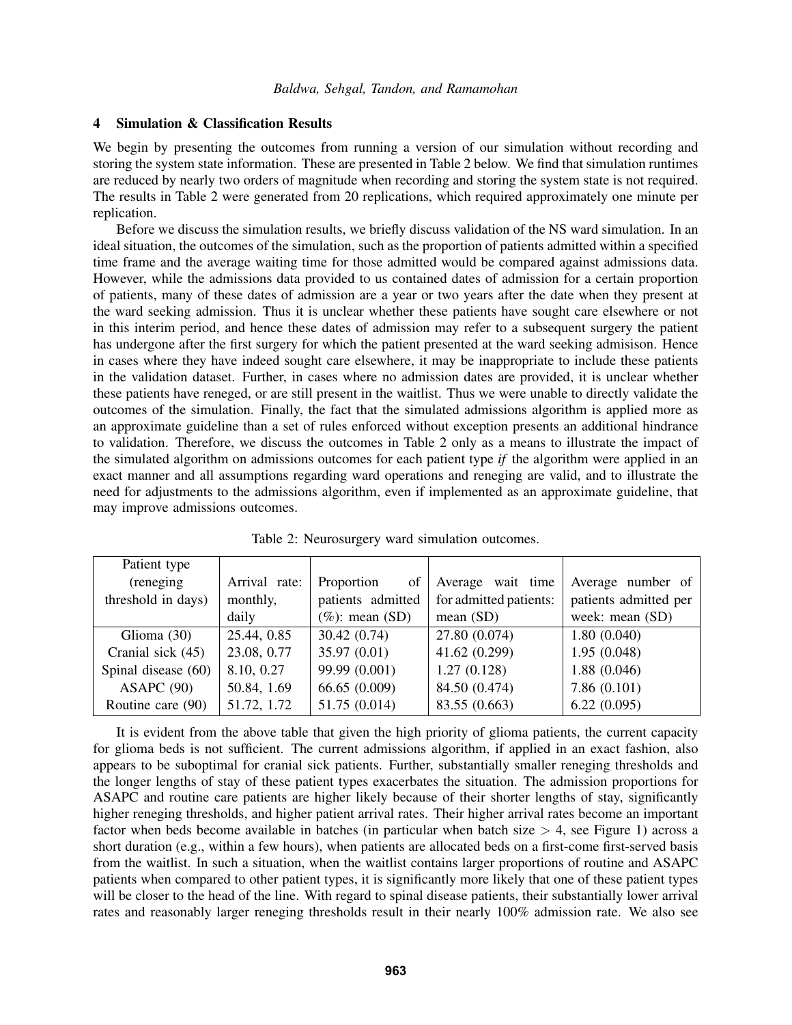#### <span id="page-7-1"></span>4 Simulation & Classification Results

We begin by presenting the outcomes from running a version of our simulation without recording and storing the system state information. These are presented in Table [2](#page-7-0) below. We find that simulation runtimes are reduced by nearly two orders of magnitude when recording and storing the system state is not required. The results in Table [2](#page-7-0) were generated from 20 replications, which required approximately one minute per replication.

Before we discuss the simulation results, we briefly discuss validation of the NS ward simulation. In an ideal situation, the outcomes of the simulation, such as the proportion of patients admitted within a specified time frame and the average waiting time for those admitted would be compared against admissions data. However, while the admissions data provided to us contained dates of admission for a certain proportion of patients, many of these dates of admission are a year or two years after the date when they present at the ward seeking admission. Thus it is unclear whether these patients have sought care elsewhere or not in this interim period, and hence these dates of admission may refer to a subsequent surgery the patient has undergone after the first surgery for which the patient presented at the ward seeking admisison. Hence in cases where they have indeed sought care elsewhere, it may be inappropriate to include these patients in the validation dataset. Further, in cases where no admission dates are provided, it is unclear whether these patients have reneged, or are still present in the waitlist. Thus we were unable to directly validate the outcomes of the simulation. Finally, the fact that the simulated admissions algorithm is applied more as an approximate guideline than a set of rules enforced without exception presents an additional hindrance to validation. Therefore, we discuss the outcomes in Table [2](#page-7-0) only as a means to illustrate the impact of the simulated algorithm on admissions outcomes for each patient type *if* the algorithm were applied in an exact manner and all assumptions regarding ward operations and reneging are valid, and to illustrate the need for adjustments to the admissions algorithm, even if implemented as an approximate guideline, that may improve admissions outcomes.

<span id="page-7-0"></span>

| Patient type        |               |                    |                        |                       |
|---------------------|---------------|--------------------|------------------------|-----------------------|
| (reneging           | Arrival rate: | Proportion<br>of   | Average wait time      | Average number of     |
| threshold in days)  | monthly,      | patients admitted  | for admitted patients: | patients admitted per |
|                     | daily         | $(\%)$ : mean (SD) | mean $(SD)$            | week: mean (SD)       |
| Glioma $(30)$       | 25.44, 0.85   | 30.42(0.74)        | 27.80 (0.074)          | 1.80(0.040)           |
| Cranial sick (45)   | 23.08, 0.77   | 35.97 (0.01)       | 41.62 (0.299)          | 1.95(0.048)           |
| Spinal disease (60) | 8.10, 0.27    | 99.99 (0.001)      | 1.27(0.128)            | 1.88(0.046)           |
| ASAPC(90)           | 50.84, 1.69   | 66.65(0.009)       | 84.50 (0.474)          | 7.86(0.101)           |
| Routine care (90)   | 51.72, 1.72   | 51.75 (0.014)      | 83.55 (0.663)          | 6.22(0.095)           |

Table 2: Neurosurgery ward simulation outcomes.

It is evident from the above table that given the high priority of glioma patients, the current capacity for glioma beds is not sufficient. The current admissions algorithm, if applied in an exact fashion, also appears to be suboptimal for cranial sick patients. Further, substantially smaller reneging thresholds and the longer lengths of stay of these patient types exacerbates the situation. The admission proportions for ASAPC and routine care patients are higher likely because of their shorter lengths of stay, significantly higher reneging thresholds, and higher patient arrival rates. Their higher arrival rates become an important factor when beds become available in batches (in particular when batch size  $> 4$ , see Figure [1\)](#page-4-0) across a short duration (e.g., within a few hours), when patients are allocated beds on a first-come first-served basis from the waitlist. In such a situation, when the waitlist contains larger proportions of routine and ASAPC patients when compared to other patient types, it is significantly more likely that one of these patient types will be closer to the head of the line. With regard to spinal disease patients, their substantially lower arrival rates and reasonably larger reneging thresholds result in their nearly 100% admission rate. We also see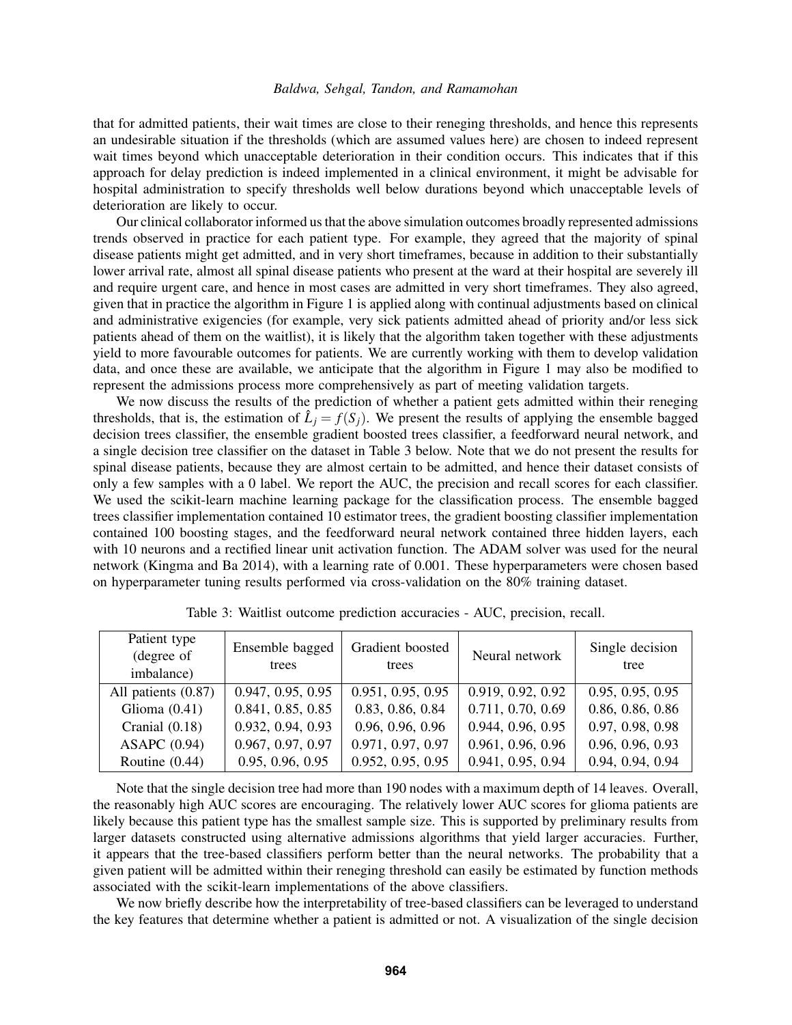that for admitted patients, their wait times are close to their reneging thresholds, and hence this represents an undesirable situation if the thresholds (which are assumed values here) are chosen to indeed represent wait times beyond which unacceptable deterioration in their condition occurs. This indicates that if this approach for delay prediction is indeed implemented in a clinical environment, it might be advisable for hospital administration to specify thresholds well below durations beyond which unacceptable levels of deterioration are likely to occur.

Our clinical collaborator informed us that the above simulation outcomes broadly represented admissions trends observed in practice for each patient type. For example, they agreed that the majority of spinal disease patients might get admitted, and in very short timeframes, because in addition to their substantially lower arrival rate, almost all spinal disease patients who present at the ward at their hospital are severely ill and require urgent care, and hence in most cases are admitted in very short timeframes. They also agreed, given that in practice the algorithm in Figure [1](#page-4-0) is applied along with continual adjustments based on clinical and administrative exigencies (for example, very sick patients admitted ahead of priority and/or less sick patients ahead of them on the waitlist), it is likely that the algorithm taken together with these adjustments yield to more favourable outcomes for patients. We are currently working with them to develop validation data, and once these are available, we anticipate that the algorithm in Figure [1](#page-4-0) may also be modified to represent the admissions process more comprehensively as part of meeting validation targets.

We now discuss the results of the prediction of whether a patient gets admitted within their reneging thresholds, that is, the estimation of  $\hat{L}_j = f(S_j)$ . We present the results of applying the ensemble bagged decision trees classifier, the ensemble gradient boosted trees classifier, a feedforward neural network, and a single decision tree classifier on the dataset in Table [3](#page-8-0) below. Note that we do not present the results for spinal disease patients, because they are almost certain to be admitted, and hence their dataset consists of only a few samples with a 0 label. We report the AUC, the precision and recall scores for each classifier. We used the scikit-learn machine learning package for the classification process. The ensemble bagged trees classifier implementation contained 10 estimator trees, the gradient boosting classifier implementation contained 100 boosting stages, and the feedforward neural network contained three hidden layers, each with 10 neurons and a rectified linear unit activation function. The ADAM solver was used for the neural network [\(Kingma and Ba 2014\)](#page-11-20), with a learning rate of 0.001. These hyperparameters were chosen based on hyperparameter tuning results performed via cross-validation on the 80% training dataset.

<span id="page-8-0"></span>

| Patient type<br>(degree of<br>imbalance) | Ensemble bagged<br>trees | Gradient boosted<br>trees | Neural network    | Single decision<br>tree |
|------------------------------------------|--------------------------|---------------------------|-------------------|-------------------------|
| All patients (0.87)                      | 0.947, 0.95, 0.95        | 0.951, 0.95, 0.95         | 0.919, 0.92, 0.92 | 0.95, 0.95, 0.95        |
| Glioma $(0.41)$                          | 0.841, 0.85, 0.85        | 0.83, 0.86, 0.84          | 0.711, 0.70, 0.69 | 0.86, 0.86, 0.86        |
| Cranial $(0.18)$                         | 0.932, 0.94, 0.93        | 0.96, 0.96, 0.96          | 0.944, 0.96, 0.95 | 0.97, 0.98, 0.98        |
| ASAPC $(0.94)$                           | 0.967, 0.97, 0.97        | 0.971, 0.97, 0.97         | 0.961, 0.96, 0.96 | 0.96, 0.96, 0.93        |
| Routine $(0.44)$                         | 0.95, 0.96, 0.95         | 0.952, 0.95, 0.95         | 0.941, 0.95, 0.94 | 0.94, 0.94, 0.94        |

Table 3: Waitlist outcome prediction accuracies - AUC, precision, recall.

Note that the single decision tree had more than 190 nodes with a maximum depth of 14 leaves. Overall, the reasonably high AUC scores are encouraging. The relatively lower AUC scores for glioma patients are likely because this patient type has the smallest sample size. This is supported by preliminary results from larger datasets constructed using alternative admissions algorithms that yield larger accuracies. Further, it appears that the tree-based classifiers perform better than the neural networks. The probability that a given patient will be admitted within their reneging threshold can easily be estimated by function methods associated with the scikit-learn implementations of the above classifiers.

We now briefly describe how the interpretability of tree-based classifiers can be leveraged to understand the key features that determine whether a patient is admitted or not. A visualization of the single decision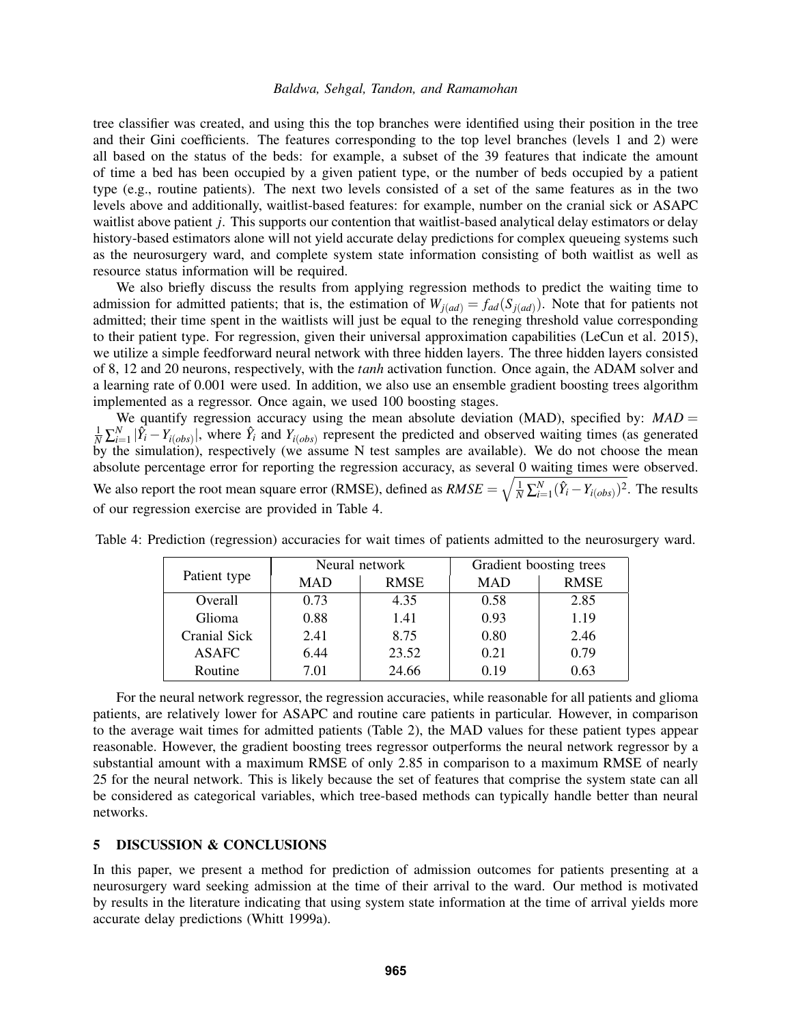tree classifier was created, and using this the top branches were identified using their position in the tree and their Gini coefficients. The features corresponding to the top level branches (levels 1 and 2) were all based on the status of the beds: for example, a subset of the 39 features that indicate the amount of time a bed has been occupied by a given patient type, or the number of beds occupied by a patient type (e.g., routine patients). The next two levels consisted of a set of the same features as in the two levels above and additionally, waitlist-based features: for example, number on the cranial sick or ASAPC waitlist above patient *j*. This supports our contention that waitlist-based analytical delay estimators or delay history-based estimators alone will not yield accurate delay predictions for complex queueing systems such as the neurosurgery ward, and complete system state information consisting of both waitlist as well as resource status information will be required.

We also briefly discuss the results from applying regression methods to predict the waiting time to admission for admitted patients; that is, the estimation of  $W_{j(ad)} = f_{ad}(S_{j(ad)})$ . Note that for patients not admitted; their time spent in the waitlists will just be equal to the reneging threshold value corresponding to their patient type. For regression, given their universal approximation capabilities [\(LeCun et al. 2015\)](#page-11-21), we utilize a simple feedforward neural network with three hidden layers. The three hidden layers consisted of 8, 12 and 20 neurons, respectively, with the *tanh* activation function. Once again, the ADAM solver and a learning rate of 0.001 were used. In addition, we also use an ensemble gradient boosting trees algorithm implemented as a regressor. Once again, we used 100 boosting stages.

We quantify regression accuracy using the mean absolute deviation (MAD), specified by: *MAD* =  $\frac{1}{N}\sum_{i=1}^{N}|\hat{Y}_i - Y_{i(obs)}|$ , where  $\hat{Y}_i$  and  $Y_{i(obs)}$  represent the predicted and observed waiting times (as generated by the simulation), respectively (we assume N test samples are available). We do not choose the mean absolute percentage error for reporting the regression accuracy, as several 0 waiting times were observed. We also report the root mean square error (RMSE), defined as  $RMSE = \sqrt{\frac{1}{N} \sum_{i=1}^{N} (\hat{Y}_i - Y_{i(obs)})^2}$ . The results of our regression exercise are provided in Table [4.](#page-9-0)

| Patient type | Neural network |             | Gradient boosting trees |             |
|--------------|----------------|-------------|-------------------------|-------------|
|              | <b>MAD</b>     | <b>RMSE</b> | <b>MAD</b>              | <b>RMSE</b> |
| Overall      | 0.73           | 4.35        | 0.58                    | 2.85        |
| Glioma       | 0.88           | 1.41        | 0.93                    | 1.19        |
| Cranial Sick | 2.41           | 8.75        | 0.80                    | 2.46        |
| <b>ASAFC</b> | 6.44           | 23.52       | 0.21                    | 0.79        |
| Routine      | 7.01           | 24.66       | N 19                    | 0.63        |

<span id="page-9-0"></span>Table 4: Prediction (regression) accuracies for wait times of patients admitted to the neurosurgery ward.

For the neural network regressor, the regression accuracies, while reasonable for all patients and glioma patients, are relatively lower for ASAPC and routine care patients in particular. However, in comparison to the average wait times for admitted patients (Table [2\)](#page-7-0), the MAD values for these patient types appear reasonable. However, the gradient boosting trees regressor outperforms the neural network regressor by a substantial amount with a maximum RMSE of only 2.85 in comparison to a maximum RMSE of nearly 25 for the neural network. This is likely because the set of features that comprise the system state can all be considered as categorical variables, which tree-based methods can typically handle better than neural networks.

### 5 DISCUSSION & CONCLUSIONS

In this paper, we present a method for prediction of admission outcomes for patients presenting at a neurosurgery ward seeking admission at the time of their arrival to the ward. Our method is motivated by results in the literature indicating that using system state information at the time of arrival yields more accurate delay predictions [\(Whitt 1999a\)](#page-11-12).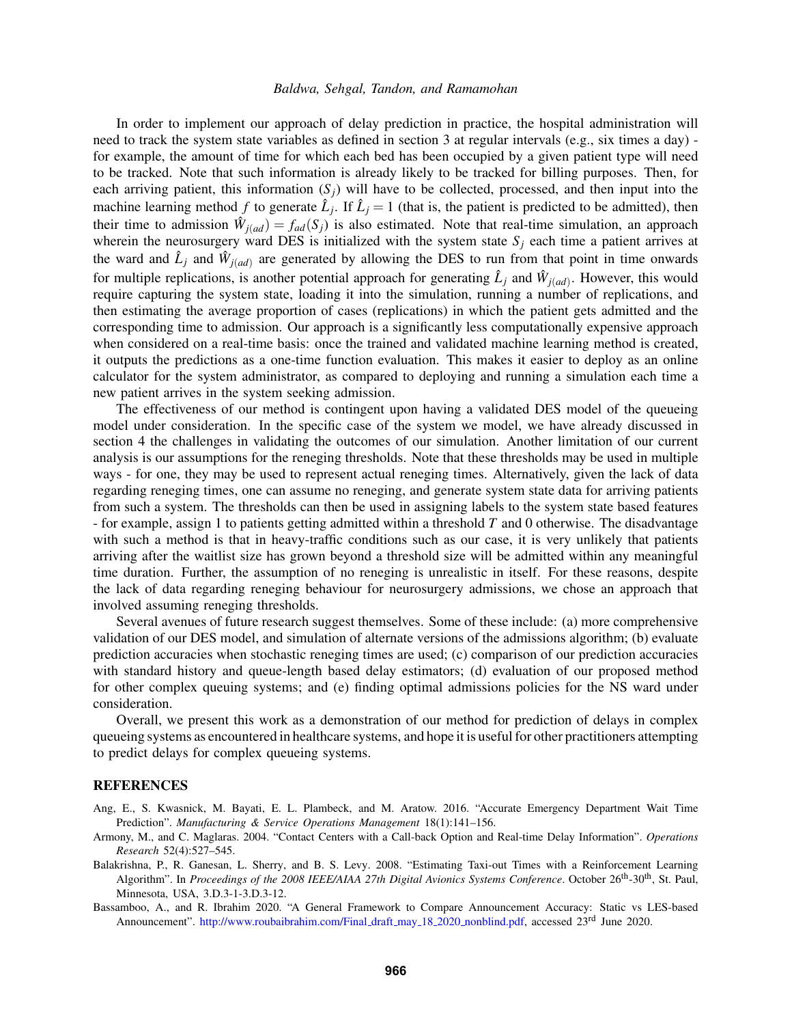In order to implement our approach of delay prediction in practice, the hospital administration will need to track the system state variables as defined in section [3](#page-3-0) at regular intervals (e.g., six times a day) for example, the amount of time for which each bed has been occupied by a given patient type will need to be tracked. Note that such information is already likely to be tracked for billing purposes. Then, for each arriving patient, this information  $(S_i)$  will have to be collected, processed, and then input into the machine learning method *f* to generate  $\hat{L}_j$ . If  $\hat{L}_j = 1$  (that is, the patient is predicted to be admitted), then their time to admission  $\hat{W}_{j(ad)} = f_{ad}(S_j)$  is also estimated. Note that real-time simulation, an approach wherein the neurosurgery ward DES is initialized with the system state  $S_i$  each time a patient arrives at the ward and  $\hat{L}_j$  and  $\hat{W}_{j(ad)}$  are generated by allowing the DES to run from that point in time onwards for multiple replications, is another potential approach for generating  $\hat{L}_j$  and  $\hat{W}_{j(ad)}$ . However, this would require capturing the system state, loading it into the simulation, running a number of replications, and then estimating the average proportion of cases (replications) in which the patient gets admitted and the corresponding time to admission. Our approach is a significantly less computationally expensive approach when considered on a real-time basis: once the trained and validated machine learning method is created, it outputs the predictions as a one-time function evaluation. This makes it easier to deploy as an online calculator for the system administrator, as compared to deploying and running a simulation each time a new patient arrives in the system seeking admission.

The effectiveness of our method is contingent upon having a validated DES model of the queueing model under consideration. In the specific case of the system we model, we have already discussed in section [4](#page-7-1) the challenges in validating the outcomes of our simulation. Another limitation of our current analysis is our assumptions for the reneging thresholds. Note that these thresholds may be used in multiple ways - for one, they may be used to represent actual reneging times. Alternatively, given the lack of data regarding reneging times, one can assume no reneging, and generate system state data for arriving patients from such a system. The thresholds can then be used in assigning labels to the system state based features - for example, assign 1 to patients getting admitted within a threshold *T* and 0 otherwise. The disadvantage with such a method is that in heavy-traffic conditions such as our case, it is very unlikely that patients arriving after the waitlist size has grown beyond a threshold size will be admitted within any meaningful time duration. Further, the assumption of no reneging is unrealistic in itself. For these reasons, despite the lack of data regarding reneging behaviour for neurosurgery admissions, we chose an approach that involved assuming reneging thresholds.

Several avenues of future research suggest themselves. Some of these include: (a) more comprehensive validation of our DES model, and simulation of alternate versions of the admissions algorithm; (b) evaluate prediction accuracies when stochastic reneging times are used; (c) comparison of our prediction accuracies with standard history and queue-length based delay estimators; (d) evaluation of our proposed method for other complex queuing systems; and (e) finding optimal admissions policies for the NS ward under consideration.

Overall, we present this work as a demonstration of our method for prediction of delays in complex queueing systems as encountered in healthcare systems, and hope it is useful for other practitioners attempting to predict delays for complex queueing systems.

#### **REFERENCES**

- <span id="page-10-2"></span>Ang, E., S. Kwasnick, M. Bayati, E. L. Plambeck, and M. Aratow. 2016. "Accurate Emergency Department Wait Time Prediction". *Manufacturing & Service Operations Management* 18(1):141–156.
- <span id="page-10-0"></span>Armony, M., and C. Maglaras. 2004. "Contact Centers with a Call-back Option and Real-time Delay Information". *Operations Research* 52(4):527–545.
- <span id="page-10-1"></span>Balakrishna, P., R. Ganesan, L. Sherry, and B. S. Levy. 2008. "Estimating Taxi-out Times with a Reinforcement Learning Algorithm". In *Proceedings of the 2008 IEEE/AIAA 27th Digital Avionics Systems Conference*. October 26th-30th, St. Paul, Minnesota, USA, 3.D.3-1-3.D.3-12.

<span id="page-10-3"></span>Bassamboo, A., and R. Ibrahim 2020. "A General Framework to Compare Announcement Accuracy: Static vs LES-based Announcement". [http://www.roubaibrahim.com/Final](http://www.roubaibrahim.com/Final_draft_may_18_2020_nonblind.pdf)\_draft\_may\_18\_2020\_nonblind.pdf, accessed 23<sup>rd</sup> June 2020.